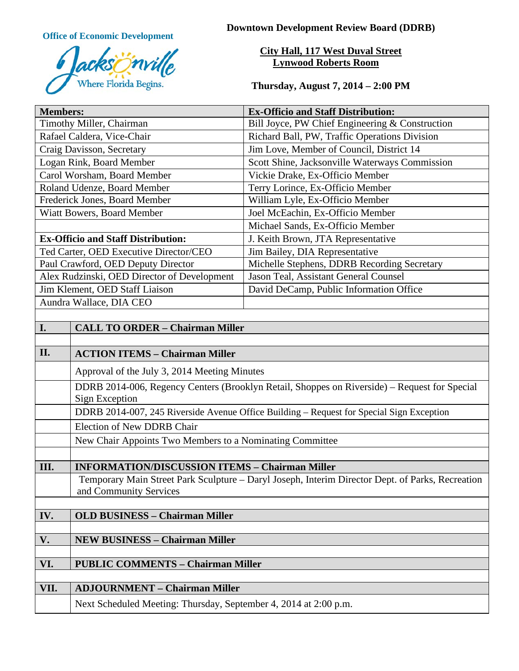

**Office of Economic Development Downtown Development Review Board (DDRB)** 

# **City Hall, 117 West Duval Street Lynwood Roberts Room**

**Thursday, August 7, 2014 – 2:00 PM**

| <b>Members:</b>                             |                                                                                                  | <b>Ex-Officio and Staff Distribution:</b>       |  |
|---------------------------------------------|--------------------------------------------------------------------------------------------------|-------------------------------------------------|--|
| Timothy Miller, Chairman                    |                                                                                                  | Bill Joyce, PW Chief Engineering & Construction |  |
| Rafael Caldera, Vice-Chair                  |                                                                                                  | Richard Ball, PW, Traffic Operations Division   |  |
| Craig Davisson, Secretary                   |                                                                                                  | Jim Love, Member of Council, District 14        |  |
| Logan Rink, Board Member                    |                                                                                                  | Scott Shine, Jacksonville Waterways Commission  |  |
| Carol Worsham, Board Member                 |                                                                                                  | Vickie Drake, Ex-Officio Member                 |  |
| Roland Udenze, Board Member                 |                                                                                                  | Terry Lorince, Ex-Officio Member                |  |
| Frederick Jones, Board Member               |                                                                                                  | William Lyle, Ex-Officio Member                 |  |
| Wiatt Bowers, Board Member                  |                                                                                                  | Joel McEachin, Ex-Officio Member                |  |
|                                             |                                                                                                  | Michael Sands, Ex-Officio Member                |  |
| <b>Ex-Officio and Staff Distribution:</b>   |                                                                                                  | J. Keith Brown, JTA Representative              |  |
| Ted Carter, OED Executive Director/CEO      |                                                                                                  | Jim Bailey, DIA Representative                  |  |
| Paul Crawford, OED Deputy Director          |                                                                                                  | Michelle Stephens, DDRB Recording Secretary     |  |
| Alex Rudzinski, OED Director of Development |                                                                                                  | Jason Teal, Assistant General Counsel           |  |
| Jim Klement, OED Staff Liaison              |                                                                                                  | David DeCamp, Public Information Office         |  |
| Aundra Wallace, DIA CEO                     |                                                                                                  |                                                 |  |
|                                             |                                                                                                  |                                                 |  |
| I.                                          | <b>CALL TO ORDER - Chairman Miller</b>                                                           |                                                 |  |
|                                             |                                                                                                  |                                                 |  |
| II.                                         | <b>ACTION ITEMS - Chairman Miller</b>                                                            |                                                 |  |
|                                             | Approval of the July 3, 2014 Meeting Minutes                                                     |                                                 |  |
|                                             | DDRB 2014-006, Regency Centers (Brooklyn Retail, Shoppes on Riverside) - Request for Special     |                                                 |  |
|                                             | <b>Sign Exception</b>                                                                            |                                                 |  |
|                                             | DDRB 2014-007, 245 Riverside Avenue Office Building - Request for Special Sign Exception         |                                                 |  |
|                                             | <b>Election of New DDRB Chair</b>                                                                |                                                 |  |
|                                             | New Chair Appoints Two Members to a Nominating Committee                                         |                                                 |  |
|                                             |                                                                                                  |                                                 |  |
| III.                                        | <b>INFORMATION/DISCUSSION ITEMS - Chairman Miller</b>                                            |                                                 |  |
|                                             | Temporary Main Street Park Sculpture - Daryl Joseph, Interim Director Dept. of Parks, Recreation |                                                 |  |
|                                             | and Community Services                                                                           |                                                 |  |
|                                             |                                                                                                  |                                                 |  |
| IV.                                         | <b>OLD BUSINESS - Chairman Miller</b>                                                            |                                                 |  |
|                                             |                                                                                                  |                                                 |  |
| V.                                          | <b>NEW BUSINESS - Chairman Miller</b>                                                            |                                                 |  |
|                                             |                                                                                                  |                                                 |  |
| VI.                                         | <b>PUBLIC COMMENTS - Chairman Miller</b>                                                         |                                                 |  |
|                                             |                                                                                                  |                                                 |  |
| VII.                                        | <b>ADJOURNMENT - Chairman Miller</b>                                                             |                                                 |  |
|                                             | Next Scheduled Meeting: Thursday, September 4, 2014 at 2:00 p.m.                                 |                                                 |  |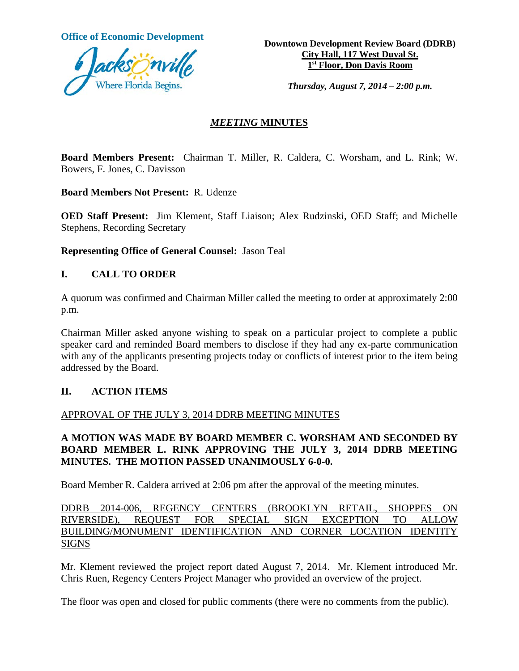

**Office of Economic Development**<br> **Downtown Development Review Board (DDRB) City Hall, 117 West Duval St. 1st Floor, Don Davis Room**

*Thursday, August 7, 2014 – 2:00 p.m.*

### *MEETING* **MINUTES**

**Board Members Present:** Chairman T. Miller, R. Caldera, C. Worsham, and L. Rink; W. Bowers, F. Jones, C. Davisson

**Board Members Not Present:** R. Udenze

**OED Staff Present:** Jim Klement, Staff Liaison; Alex Rudzinski, OED Staff; and Michelle Stephens, Recording Secretary

**Representing Office of General Counsel:** Jason Teal

### **I. CALL TO ORDER**

A quorum was confirmed and Chairman Miller called the meeting to order at approximately 2:00 p.m.

Chairman Miller asked anyone wishing to speak on a particular project to complete a public speaker card and reminded Board members to disclose if they had any ex-parte communication with any of the applicants presenting projects today or conflicts of interest prior to the item being addressed by the Board.

#### **II. ACTION ITEMS**

#### APPROVAL OF THE JULY 3, 2014 DDRB MEETING MINUTES

# **A MOTION WAS MADE BY BOARD MEMBER C. WORSHAM AND SECONDED BY BOARD MEMBER L. RINK APPROVING THE JULY 3, 2014 DDRB MEETING MINUTES. THE MOTION PASSED UNANIMOUSLY 6-0-0.**

Board Member R. Caldera arrived at 2:06 pm after the approval of the meeting minutes.

DDRB 2014-006, REGENCY CENTERS (BROOKLYN RETAIL, SHOPPES ON RIVERSIDE), REQUEST FOR SPECIAL SIGN EXCEPTION TO ALLOW BUILDING/MONUMENT IDENTIFICATION AND CORNER LOCATION IDENTITY SIGNS

Mr. Klement reviewed the project report dated August 7, 2014. Mr. Klement introduced Mr. Chris Ruen, Regency Centers Project Manager who provided an overview of the project.

The floor was open and closed for public comments (there were no comments from the public).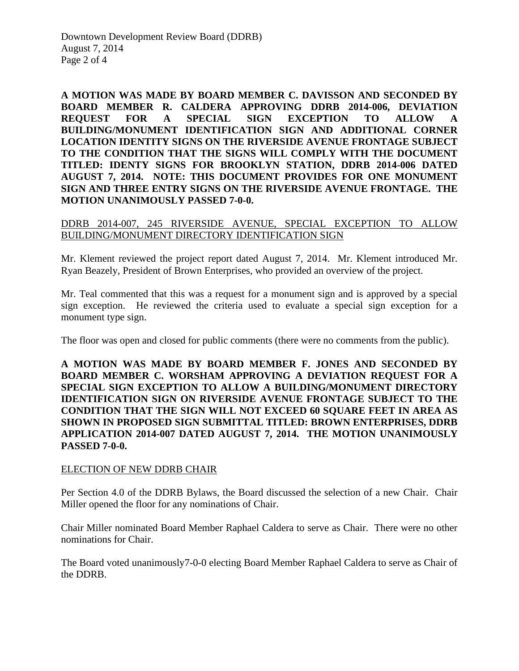**A MOTION WAS MADE BY BOARD MEMBER C. DAVISSON AND SECONDED BY BOARD MEMBER R. CALDERA APPROVING DDRB 2014-006, DEVIATION REQUEST FOR A SPECIAL SIGN EXCEPTION TO ALLOW A BUILDING/MONUMENT IDENTIFICATION SIGN AND ADDITIONAL CORNER LOCATION IDENTITY SIGNS ON THE RIVERSIDE AVENUE FRONTAGE SUBJECT TO THE CONDITION THAT THE SIGNS WILL COMPLY WITH THE DOCUMENT TITLED: IDENTY SIGNS FOR BROOKLYN STATION, DDRB 2014-006 DATED AUGUST 7, 2014. NOTE: THIS DOCUMENT PROVIDES FOR ONE MONUMENT SIGN AND THREE ENTRY SIGNS ON THE RIVERSIDE AVENUE FRONTAGE. THE MOTION UNANIMOUSLY PASSED 7-0-0.**

### DDRB 2014-007, 245 RIVERSIDE AVENUE, SPECIAL EXCEPTION TO ALLOW BUILDING/MONUMENT DIRECTORY IDENTIFICATION SIGN

Mr. Klement reviewed the project report dated August 7, 2014. Mr. Klement introduced Mr. Ryan Beazely, President of Brown Enterprises, who provided an overview of the project.

Mr. Teal commented that this was a request for a monument sign and is approved by a special sign exception. He reviewed the criteria used to evaluate a special sign exception for a monument type sign.

The floor was open and closed for public comments (there were no comments from the public).

**A MOTION WAS MADE BY BOARD MEMBER F. JONES AND SECONDED BY BOARD MEMBER C. WORSHAM APPROVING A DEVIATION REQUEST FOR A SPECIAL SIGN EXCEPTION TO ALLOW A BUILDING/MONUMENT DIRECTORY IDENTIFICATION SIGN ON RIVERSIDE AVENUE FRONTAGE SUBJECT TO THE CONDITION THAT THE SIGN WILL NOT EXCEED 60 SQUARE FEET IN AREA AS SHOWN IN PROPOSED SIGN SUBMITTAL TITLED: BROWN ENTERPRISES, DDRB APPLICATION 2014-007 DATED AUGUST 7, 2014. THE MOTION UNANIMOUSLY PASSED 7-0-0.**

#### ELECTION OF NEW DDRB CHAIR

Per Section 4.0 of the DDRB Bylaws, the Board discussed the selection of a new Chair. Chair Miller opened the floor for any nominations of Chair.

Chair Miller nominated Board Member Raphael Caldera to serve as Chair. There were no other nominations for Chair.

The Board voted unanimously7-0-0 electing Board Member Raphael Caldera to serve as Chair of the DDRB.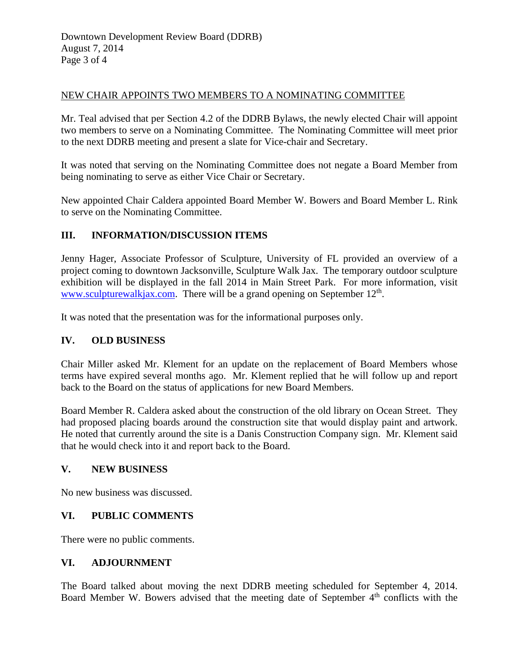### NEW CHAIR APPOINTS TWO MEMBERS TO A NOMINATING COMMITTEE

Mr. Teal advised that per Section 4.2 of the DDRB Bylaws, the newly elected Chair will appoint two members to serve on a Nominating Committee. The Nominating Committee will meet prior to the next DDRB meeting and present a slate for Vice-chair and Secretary.

It was noted that serving on the Nominating Committee does not negate a Board Member from being nominating to serve as either Vice Chair or Secretary.

New appointed Chair Caldera appointed Board Member W. Bowers and Board Member L. Rink to serve on the Nominating Committee.

# **III. INFORMATION/DISCUSSION ITEMS**

Jenny Hager, Associate Professor of Sculpture, University of FL provided an overview of a project coming to downtown Jacksonville, Sculpture Walk Jax. The temporary outdoor sculpture exhibition will be displayed in the fall 2014 in Main Street Park. For more information, visit [www.sculpturewalkjax.com.](http://www.sculpturewalkjax.com/) There will be a grand opening on September  $12<sup>th</sup>$ .

It was noted that the presentation was for the informational purposes only.

# **IV. OLD BUSINESS**

Chair Miller asked Mr. Klement for an update on the replacement of Board Members whose terms have expired several months ago. Mr. Klement replied that he will follow up and report back to the Board on the status of applications for new Board Members.

Board Member R. Caldera asked about the construction of the old library on Ocean Street. They had proposed placing boards around the construction site that would display paint and artwork. He noted that currently around the site is a Danis Construction Company sign. Mr. Klement said that he would check into it and report back to the Board.

# **V. NEW BUSINESS**

No new business was discussed.

# **VI. PUBLIC COMMENTS**

There were no public comments.

#### **VI. ADJOURNMENT**

The Board talked about moving the next DDRB meeting scheduled for September 4, 2014. Board Member W. Bowers advised that the meeting date of September  $4<sup>th</sup>$  conflicts with the